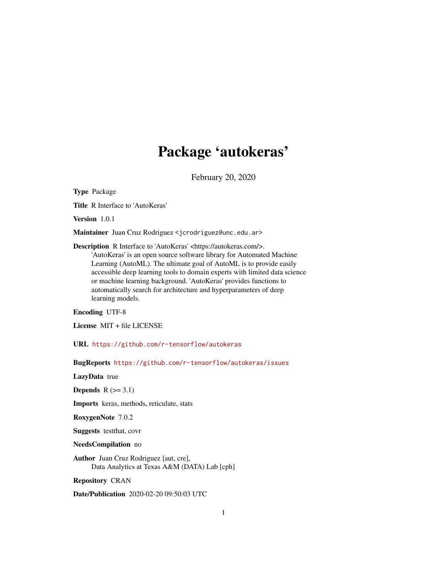# Package 'autokeras'

February 20, 2020

<span id="page-0-0"></span>Type Package

Title R Interface to 'AutoKeras'

Version 1.0.1

Maintainer Juan Cruz Rodriguez <jcrodriguez@unc.edu.ar>

Description R Interface to 'AutoKeras' <https://autokeras.com/>. 'AutoKeras' is an open source software library for Automated Machine Learning (AutoML). The ultimate goal of AutoML is to provide easily accessible deep learning tools to domain experts with limited data science or machine learning background. 'AutoKeras' provides functions to automatically search for architecture and hyperparameters of deep learning models.

Encoding UTF-8

License MIT + file LICENSE

URL <https://github.com/r-tensorflow/autokeras>

BugReports <https://github.com/r-tensorflow/autokeras/issues>

LazyData true

Depends  $R$  ( $>= 3.1$ )

Imports keras, methods, reticulate, stats

RoxygenNote 7.0.2

Suggests testthat, covr

NeedsCompilation no

Author Juan Cruz Rodriguez [aut, cre], Data Analytics at Texas A&M (DATA) Lab [cph]

Repository CRAN

Date/Publication 2020-02-20 09:50:03 UTC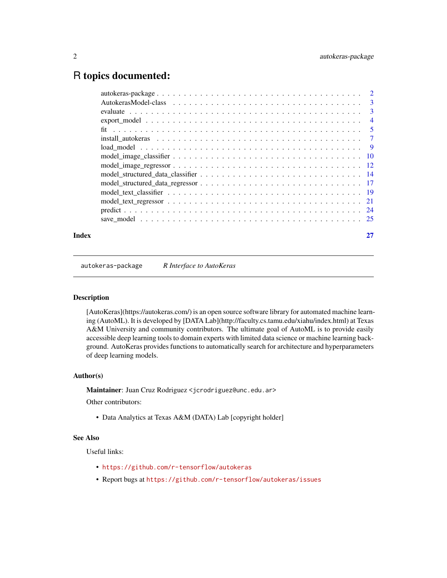# <span id="page-1-0"></span>R topics documented:

| Index |  |
|-------|--|
|       |  |
|       |  |
|       |  |
|       |  |
|       |  |
|       |  |
|       |  |
|       |  |
|       |  |
|       |  |
|       |  |
|       |  |
|       |  |
|       |  |
|       |  |

autokeras-package *R Interface to AutoKeras*

# Description

[AutoKeras](https://autokeras.com/) is an open source software library for automated machine learning (AutoML). It is developed by [DATA Lab](http://faculty.cs.tamu.edu/xiahu/index.html) at Texas A&M University and community contributors. The ultimate goal of AutoML is to provide easily accessible deep learning tools to domain experts with limited data science or machine learning background. AutoKeras provides functions to automatically search for architecture and hyperparameters of deep learning models.

#### Author(s)

Maintainer: Juan Cruz Rodriguez <jcrodriguez@unc.edu.ar>

Other contributors:

• Data Analytics at Texas A&M (DATA) Lab [copyright holder]

# See Also

Useful links:

- <https://github.com/r-tensorflow/autokeras>
- Report bugs at <https://github.com/r-tensorflow/autokeras/issues>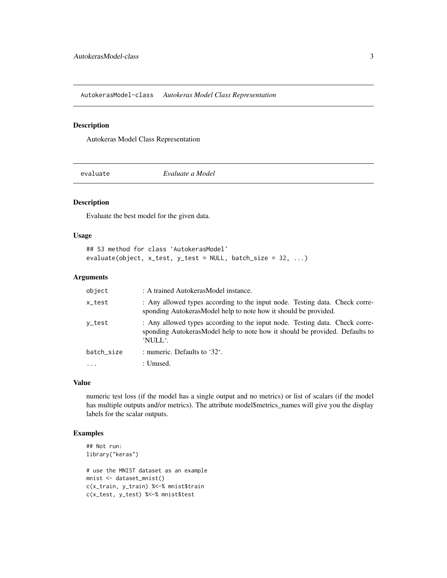<span id="page-2-0"></span>AutokerasModel-class *Autokeras Model Class Representation*

# Description

Autokeras Model Class Representation

evaluate *Evaluate a Model*

#### Description

Evaluate the best model for the given data.

#### Usage

```
## S3 method for class 'AutokerasModel'
evaluate(object, x_test, y_test = NULL, batch_size = 32, ...)
```
# Arguments

| object     | : A trained AutokerasModel instance.                                                                                                                                  |
|------------|-----------------------------------------------------------------------------------------------------------------------------------------------------------------------|
| x_test     | : Any allowed types according to the input node. Testing data. Check corre-<br>sponding AutokerasModel help to note how it should be provided.                        |
| y_test     | : Any allowed types according to the input node. Testing data. Check corre-<br>sponding AutokerasModel help to note how it should be provided. Defaults to<br>'NULL'. |
| batch size | : numeric. Defaults to '32'.                                                                                                                                          |
| $\ddotsc$  | : Unused.                                                                                                                                                             |

#### Value

numeric test loss (if the model has a single output and no metrics) or list of scalars (if the model has multiple outputs and/or metrics). The attribute model\$metrics\_names will give you the display labels for the scalar outputs.

# Examples

```
## Not run:
library("keras")
```

```
# use the MNIST dataset as an example
mnist <- dataset_mnist()
c(x_train, y_train) %<-% mnist$train
c(x_test, y_test) %<-% mnist$test
```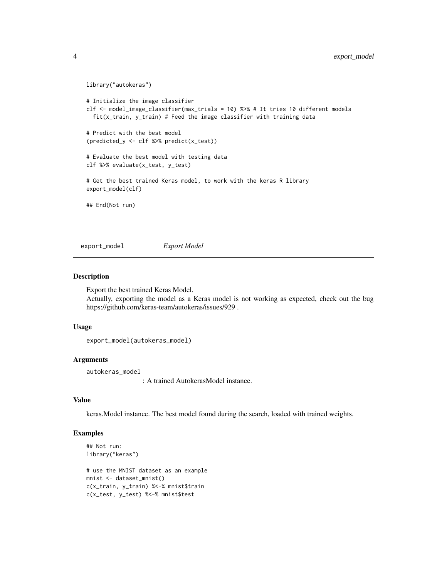```
library("autokeras")
```

```
# Initialize the image classifier
clf <- model_image_classifier(max_trials = 10) %>% # It tries 10 different models
 fit(x_train, y_train) # Feed the image classifier with training data
# Predict with the best model
(predicted_y <- clf %>% predict(x_test))
# Evaluate the best model with testing data
clf %>% evaluate(x_test, y_test)
# Get the best trained Keras model, to work with the keras R library
export_model(clf)
## End(Not run)
```
export\_model *Export Model*

#### Description

Export the best trained Keras Model.

Actually, exporting the model as a Keras model is not working as expected, check out the bug https://github.com/keras-team/autokeras/issues/929 .

#### Usage

```
export_model(autokeras_model)
```
#### Arguments

autokeras\_model

: A trained AutokerasModel instance.

#### Value

keras.Model instance. The best model found during the search, loaded with trained weights.

# Examples

```
## Not run:
library("keras")
```

```
# use the MNIST dataset as an example
mnist <- dataset_mnist()
c(x_train, y_train) %<-% mnist$train
c(x_test, y_test) %<-% mnist$test
```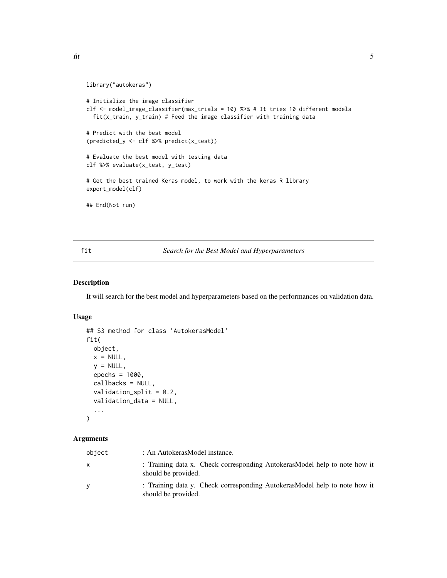```
library("autokeras")
```

```
# Initialize the image classifier
clf <- model_image_classifier(max_trials = 10) %>% # It tries 10 different models
  fit(x_train, y_train) # Feed the image classifier with training data
# Predict with the best model
(predicted_y <- clf %>% predict(x_test))
# Evaluate the best model with testing data
clf %>% evaluate(x_test, y_test)
# Get the best trained Keras model, to work with the keras R library
export_model(clf)
## End(Not run)
```
#### fit *Search for the Best Model and Hyperparameters*

# Description

It will search for the best model and hyperparameters based on the performances on validation data.

# Usage

```
## S3 method for class 'AutokerasModel'
fit(
  object,
 x = NULL,y = NULL,epochs = 1000,
  callbacks = NULL,
  validation_split = 0.2,
  validation_data = NULL,
  ...
\mathcal{L}
```
# Arguments

| object | : An AutokerasModel instance.                                                                    |
|--------|--------------------------------------------------------------------------------------------------|
| x      | : Training data x. Check corresponding AutokerasModel help to note how it<br>should be provided. |
| V      | : Training data y. Check corresponding AutokerasModel help to note how it<br>should be provided. |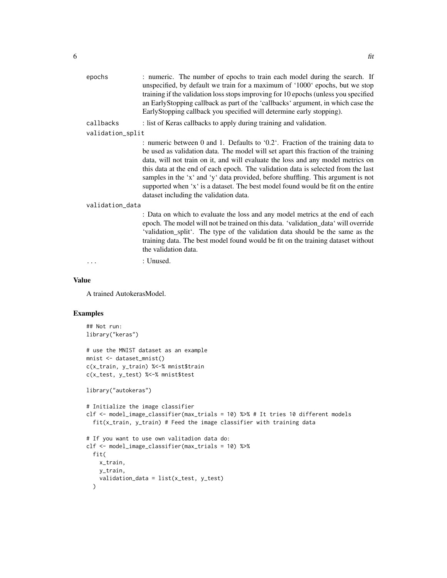| epochs           | : numeric. The number of epochs to train each model during the search. If<br>unspecified, by default we train for a maximum of '1000' epochs, but we stop<br>training if the validation loss stops improving for 10 epochs (unless you specified<br>an EarlyStopping callback as part of the 'callbacks' argument, in which case the<br>EarlyStopping callback you specified will determine early stopping).                                                                                                                                                   |
|------------------|----------------------------------------------------------------------------------------------------------------------------------------------------------------------------------------------------------------------------------------------------------------------------------------------------------------------------------------------------------------------------------------------------------------------------------------------------------------------------------------------------------------------------------------------------------------|
| callbacks        | : list of Keras callbacks to apply during training and validation.                                                                                                                                                                                                                                                                                                                                                                                                                                                                                             |
| validation_split |                                                                                                                                                                                                                                                                                                                                                                                                                                                                                                                                                                |
|                  | : numeric between 0 and 1. Defaults to '0.2'. Fraction of the training data to<br>be used as validation data. The model will set apart this fraction of the training<br>data, will not train on it, and will evaluate the loss and any model metrics on<br>this data at the end of each epoch. The validation data is selected from the last<br>samples in the 'x' and 'y' data provided, before shuffling. This argument is not<br>supported when 'x' is a dataset. The best model found would be fit on the entire<br>dataset including the validation data. |
| validation_data  |                                                                                                                                                                                                                                                                                                                                                                                                                                                                                                                                                                |
|                  | : Data on which to evaluate the loss and any model metrics at the end of each<br>epoch. The model will not be trained on this data. 'validation_data' will override<br>'validation_split'. The type of the validation data should be the same as the<br>training data. The best model found would be fit on the training dataset without<br>the validation data.                                                                                                                                                                                               |
|                  | : Unused.                                                                                                                                                                                                                                                                                                                                                                                                                                                                                                                                                      |
|                  |                                                                                                                                                                                                                                                                                                                                                                                                                                                                                                                                                                |

# Value

A trained AutokerasModel.

# Examples

```
## Not run:
library("keras")
```

```
# use the MNIST dataset as an example
mnist <- dataset_mnist()
c(x_train, y_train) %<-% mnist$train
c(x_test, y_test) %<-% mnist$test
```
library("autokeras")

```
# Initialize the image classifier
clf <- model_image_classifier(max_trials = 10) %>% # It tries 10 different models
  fit(x_train, y_train) # Feed the image classifier with training data
```

```
# If you want to use own valitadion data do:
clf <- model_image_classifier(max_trials = 10) %>%
  fit(
    x_train,
    y_train,
    validation_data = list(x_test, y_test)
  \mathcal{L}
```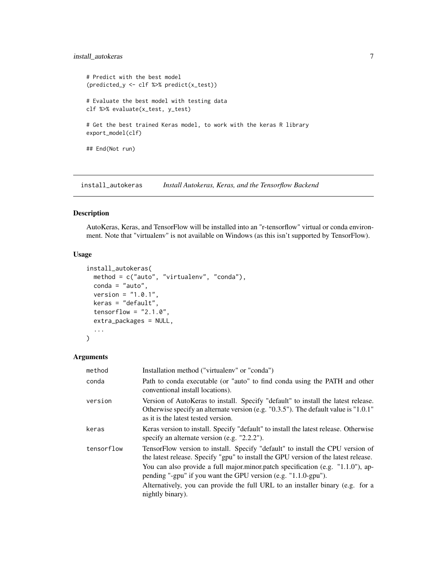# <span id="page-6-0"></span>install\_autokeras 7

```
# Predict with the best model
(predicted_y <- clf %>% predict(x_test))
# Evaluate the best model with testing data
clf %>% evaluate(x_test, y_test)
# Get the best trained Keras model, to work with the keras R library
export_model(clf)
## End(Not run)
```
install\_autokeras *Install Autokeras, Keras, and the Tensorflow Backend*

#### Description

AutoKeras, Keras, and TensorFlow will be installed into an "r-tensorflow" virtual or conda environment. Note that "virtualenv" is not available on Windows (as this isn't supported by TensorFlow).

#### Usage

```
install_autokeras(
 method = c("auto", "virtualenv", "conda"),
 conda = "auto",version = "1.0.1",keras = "default",
  tensorflow = "2.1.0",
  extra_packages = NULL,
  ...
\mathcal{L}
```
#### Arguments

| method     | Installation method ("virtualeny" or "conda")                                                                                                                                                                        |
|------------|----------------------------------------------------------------------------------------------------------------------------------------------------------------------------------------------------------------------|
| conda      | Path to conda executable (or "auto" to find conda using the PATH and other<br>conventional install locations).                                                                                                       |
| version    | Version of AutoKeras to install. Specify "default" to install the latest release.<br>Otherwise specify an alternate version (e.g. $"0.3.5"$ ). The default value is $"1.0.1"$<br>as it is the latest tested version. |
| keras      | Keras version to install. Specify "default" to install the latest release. Otherwise<br>specify an alternate version (e.g. "2.2.2").                                                                                 |
| tensorflow | TensorFlow version to install. Specify "default" to install the CPU version of<br>the latest release. Specify "gpu" to install the GPU version of the latest release.                                                |
|            | You can also provide a full major.minor.patch specification (e.g. "1.1.0"), ap-<br>pending "-gpu" if you want the GPU version (e.g. $"1.1.0\text{-}gpu"$ ).                                                          |
|            | Alternatively, you can provide the full URL to an installer binary (e.g. for a<br>nightly binary).                                                                                                                   |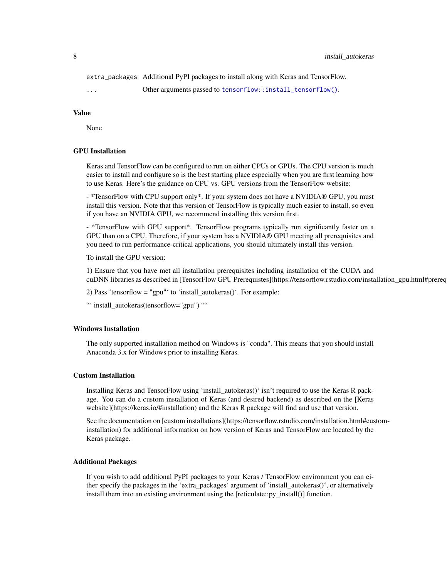#### <span id="page-7-0"></span>8 install\_autokeras

extra\_packages Additional PyPI packages to install along with Keras and TensorFlow.

... Other arguments passed to [tensorflow::install\\_tensorflow\(\)](#page-0-0).

#### Value

None

#### GPU Installation

Keras and TensorFlow can be configured to run on either CPUs or GPUs. The CPU version is much easier to install and configure so is the best starting place especially when you are first learning how to use Keras. Here's the guidance on CPU vs. GPU versions from the TensorFlow website:

- \*TensorFlow with CPU support only\*. If your system does not have a NVIDIA® GPU, you must install this version. Note that this version of TensorFlow is typically much easier to install, so even if you have an NVIDIA GPU, we recommend installing this version first.

- \*TensorFlow with GPU support\*. TensorFlow programs typically run significantly faster on a GPU than on a CPU. Therefore, if your system has a NVIDIA® GPU meeting all prerequisites and you need to run performance-critical applications, you should ultimately install this version.

To install the GPU version:

1) Ensure that you have met all installation prerequisites including installation of the CUDA and cuDNN libraries as described in [TensorFlow GPU Prerequistes](https://tensorflow.rstudio.com/installation\_gpu.html#prerequisites).

2) Pass 'tensorflow = "gpu"' to 'install\_autokeras()'. For example:

"' install\_autokeras(tensorflow="gpu") ""

# Windows Installation

The only supported installation method on Windows is "conda". This means that you should install Anaconda 3.x for Windows prior to installing Keras.

#### Custom Installation

Installing Keras and TensorFlow using 'install\_autokeras()' isn't required to use the Keras R package. You can do a custom installation of Keras (and desired backend) as described on the [Keras website](https://keras.io/#installation) and the Keras R package will find and use that version.

See the documentation on [custom installations](https://tensorflow.rstudio.com/installation.html#custominstallation) for additional information on how version of Keras and TensorFlow are located by the Keras package.

#### Additional Packages

If you wish to add additional PyPI packages to your Keras / TensorFlow environment you can either specify the packages in the 'extra\_packages' argument of 'install\_autokeras()', or alternatively install them into an existing environment using the [reticulate::py\_install()] function.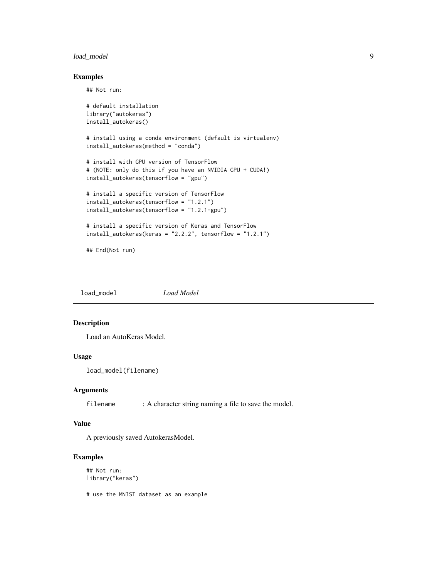# <span id="page-8-0"></span>load\_model 9

# Examples

## Not run:

```
# default installation
library("autokeras")
install_autokeras()
# install using a conda environment (default is virtualenv)
install_autokeras(method = "conda")
# install with GPU version of TensorFlow
# (NOTE: only do this if you have an NVIDIA GPU + CUDA!)
install_autokeras(tensorflow = "gpu")
# install a specific version of TensorFlow
install_autokeras(tensorflow = "1.2.1")
install_autokeras(tensorflow = "1.2.1-gpu")
# install a specific version of Keras and TensorFlow
install_autokeras(keras = "2.2.2", tensorflow = "1.2.1")
## End(Not run)
```
load\_model *Load Model*

#### Description

Load an AutoKeras Model.

# Usage

```
load_model(filename)
```
# Arguments

filename : A character string naming a file to save the model.

#### Value

A previously saved AutokerasModel.

# Examples

```
## Not run:
library("keras")
```
# use the MNIST dataset as an example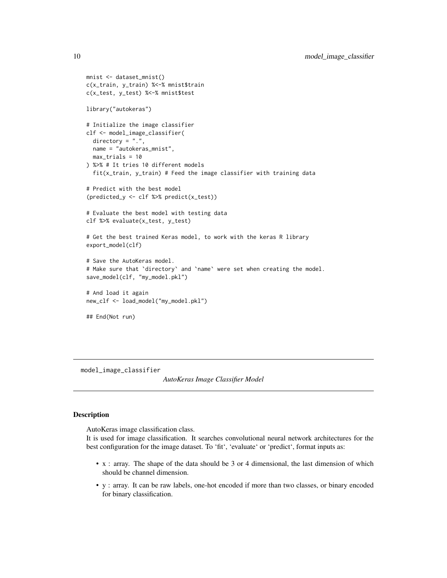```
mnist <- dataset_mnist()
c(x_train, y_train) %<-% mnist$train
c(x_test, y_test) %<-% mnist$test
library("autokeras")
# Initialize the image classifier
clf <- model_image_classifier(
  directory = ".",
 name = "autokeras_mnist",
  max_trials = 10
) %>% # It tries 10 different models
  fit(x_train, y_train) # Feed the image classifier with training data
# Predict with the best model
(predicted_y <- clf %>% predict(x_test))
# Evaluate the best model with testing data
clf %>% evaluate(x_test, y_test)
# Get the best trained Keras model, to work with the keras R library
export_model(clf)
# Save the AutoKeras model.
# Make sure that `directory` and `name` were set when creating the model.
save_model(clf, "my_model.pkl")
# And load it again
new_clf <- load_model("my_model.pkl")
## End(Not run)
```
model\_image\_classifier

```
AutoKeras Image Classifier Model
```
#### Description

AutoKeras image classification class.

It is used for image classification. It searches convolutional neural network architectures for the best configuration for the image dataset. To 'fit', 'evaluate' or 'predict', format inputs as:

- x : array. The shape of the data should be 3 or 4 dimensional, the last dimension of which should be channel dimension.
- y : array. It can be raw labels, one-hot encoded if more than two classes, or binary encoded for binary classification.

<span id="page-9-0"></span>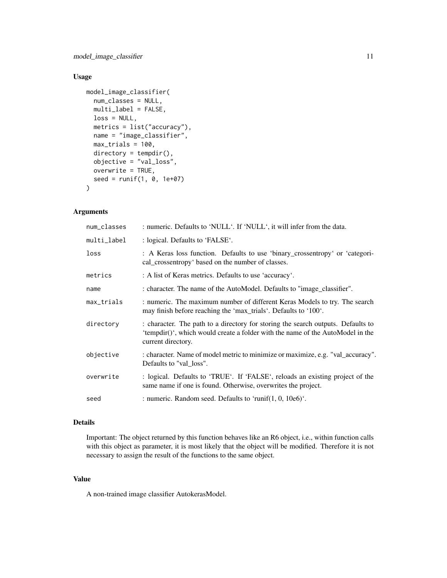model\_image\_classifier 11

# Usage

```
model_image_classifier(
 num_classes = NULL,
 multi_label = FALSE,
 loss = NULL,metrics = list("accuracy"),
 name = "image_classifier",
 max_trials = 100,
 directory = tempdir(),objective = "val_loss",
 overwrite = TRUE,
  seed = runif(1, 0, 1e+07))
```
#### Arguments

| num_classes | : numeric. Defaults to 'NULL'. If 'NULL', it will infer from the data.                                                                                                                   |
|-------------|------------------------------------------------------------------------------------------------------------------------------------------------------------------------------------------|
| multi_label | : logical. Defaults to 'FALSE'.                                                                                                                                                          |
| loss        | : A Keras loss function. Defaults to use 'binary_crossentropy' or 'categori-<br>cal_crossentropy' based on the number of classes.                                                        |
| metrics     | : A list of Keras metrics. Defaults to use 'accuracy'.                                                                                                                                   |
| name        | : character. The name of the AutoModel. Defaults to "image classifier".                                                                                                                  |
| max_trials  | : numeric. The maximum number of different Keras Models to try. The search<br>may finish before reaching the 'max_trials'. Defaults to '100'.                                            |
| directory   | : character. The path to a directory for storing the search outputs. Defaults to<br>'tempdir()', which would create a folder with the name of the AutoModel in the<br>current directory. |
| objective   | : character. Name of model metric to minimize or maximize, e.g. "val_accuracy".<br>Defaults to "val loss".                                                                               |
| overwrite   | : logical. Defaults to 'TRUE'. If 'FALSE', reloads an existing project of the<br>same name if one is found. Otherwise, overwrites the project.                                           |
| seed        | : numeric. Random seed. Defaults to 'runif $(1, 0, 10e6)$ '.                                                                                                                             |

# Details

Important: The object returned by this function behaves like an R6 object, i.e., within function calls with this object as parameter, it is most likely that the object will be modified. Therefore it is not necessary to assign the result of the functions to the same object.

# Value

A non-trained image classifier AutokerasModel.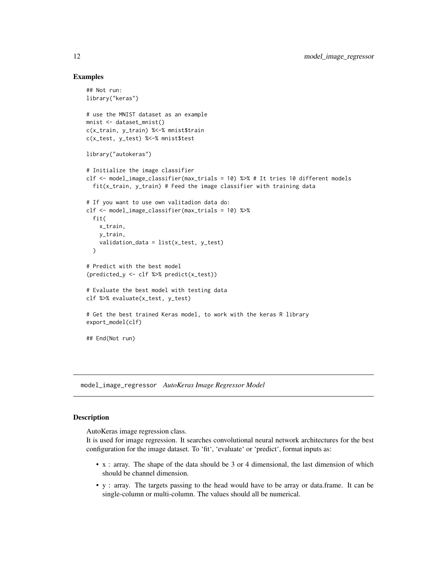#### Examples

```
## Not run:
library("keras")
# use the MNIST dataset as an example
mnist <- dataset_mnist()
c(x_train, y_train) %<-% mnist$train
c(x_test, y_test) %<-% mnist$test
library("autokeras")
# Initialize the image classifier
clf <- model_image_classifier(max_trials = 10) %>% # It tries 10 different models
  fit(x_train, y_train) # Feed the image classifier with training data
# If you want to use own valitadion data do:
clf <- model_image_classifier(max_trials = 10) %>%
  fit(
    x_train,
    y_train,
    validation_data = list(x_test, y_test)
  )
# Predict with the best model
(predicted_y <- clf %>% predict(x_test))
# Evaluate the best model with testing data
clf %>% evaluate(x_test, y_test)
# Get the best trained Keras model, to work with the keras R library
export_model(clf)
## End(Not run)
```
model\_image\_regressor *AutoKeras Image Regressor Model*

#### **Description**

AutoKeras image regression class.

It is used for image regression. It searches convolutional neural network architectures for the best configuration for the image dataset. To 'fit', 'evaluate' or 'predict', format inputs as:

- x : array. The shape of the data should be 3 or 4 dimensional, the last dimension of which should be channel dimension.
- y : array. The targets passing to the head would have to be array or data.frame. It can be single-column or multi-column. The values should all be numerical.

<span id="page-11-0"></span>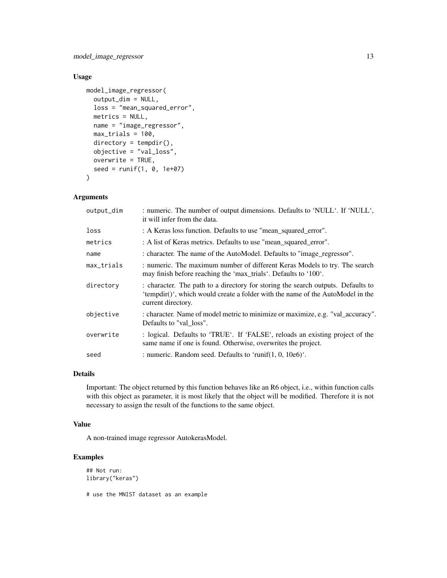model\_image\_regressor 13

# Usage

```
model_image_regressor(
 output_dim = NULL,
 loss = "mean_squared_error",
 metrics = NULL,
 name = "image_regressor",
 max_trials = 100,
 directory = tempdir(),
 objective = "val_loss",
 overwrite = TRUE,
  seed = runif(1, 0, 1e+07))
```
# Arguments

| output_dim | : numeric. The number of output dimensions. Defaults to 'NULL'. If 'NULL',<br>it will infer from the data.                                                                               |
|------------|------------------------------------------------------------------------------------------------------------------------------------------------------------------------------------------|
| loss       | : A Keras loss function. Defaults to use "mean_squared_error".                                                                                                                           |
| metrics    | : A list of Keras metrics. Defaults to use "mean_squared_error".                                                                                                                         |
| name       | : character. The name of the AutoModel. Defaults to "image_regressor".                                                                                                                   |
| max_trials | : numeric. The maximum number of different Keras Models to try. The search<br>may finish before reaching the 'max_trials'. Defaults to '100'.                                            |
| directory  | : character. The path to a directory for storing the search outputs. Defaults to<br>'tempdir()', which would create a folder with the name of the AutoModel in the<br>current directory. |
| objective  | : character. Name of model metric to minimize or maximize, e.g. "val_accuracy".<br>Defaults to "val loss".                                                                               |
| overwrite  | : logical. Defaults to 'TRUE'. If 'FALSE', reloads an existing project of the<br>same name if one is found. Otherwise, overwrites the project.                                           |
| seed       | : numeric. Random seed. Defaults to 'runif(1, 0, $10e6$ )'.                                                                                                                              |

#### Details

Important: The object returned by this function behaves like an R6 object, i.e., within function calls with this object as parameter, it is most likely that the object will be modified. Therefore it is not necessary to assign the result of the functions to the same object.

# Value

A non-trained image regressor AutokerasModel.

# Examples

```
## Not run:
library("keras")
```
# use the MNIST dataset as an example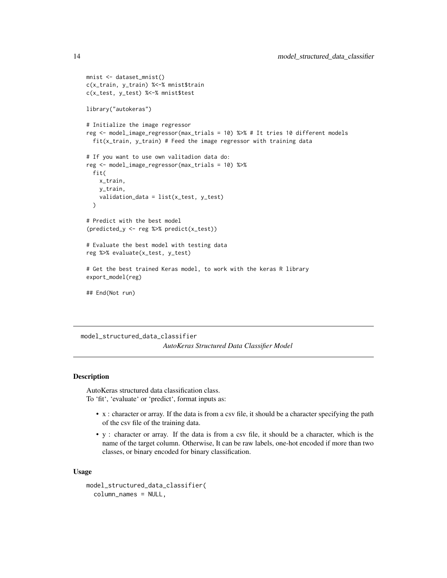```
mnist <- dataset_mnist()
c(x_train, y_train) %<-% mnist$train
c(x_test, y_test) %<-% mnist$test
library("autokeras")
# Initialize the image regressor
reg <- model_image_regressor(max_trials = 10) %>% # It tries 10 different models
  fit(x_train, y_train) # Feed the image regressor with training data
# If you want to use own valitadion data do:
reg <- model_image_regressor(max_trials = 10) %>%
  fit(
    x_train,
   y_train,
    validation_data = list(x_test, y_test)
  )
# Predict with the best model
(predicted_y <- reg %>% predict(x_test))
# Evaluate the best model with testing data
reg %>% evaluate(x_test, y_test)
# Get the best trained Keras model, to work with the keras R library
export_model(reg)
## End(Not run)
```

```
model_structured_data_classifier
                        AutoKeras Structured Data Classifier Model
```
#### Description

AutoKeras structured data classification class. To 'fit', 'evaluate' or 'predict', format inputs as:

- x : character or array. If the data is from a csv file, it should be a character specifying the path of the csv file of the training data.
- y : character or array. If the data is from a csv file, it should be a character, which is the name of the target column. Otherwise, It can be raw labels, one-hot encoded if more than two classes, or binary encoded for binary classification.

#### Usage

```
model_structured_data_classifier(
  column_names = NULL,
```
<span id="page-13-0"></span>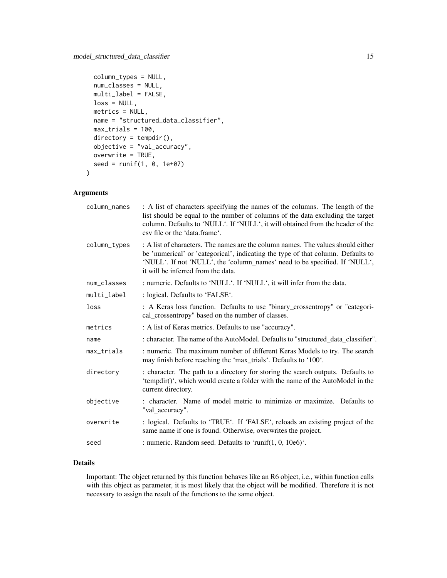```
column_types = NULL,
 num_classes = NULL,
 multi_label = FALSE,
 loss = NULL,
 metrics = NULL,
 name = "structured_data_classifier",
 max\_trials = 100,
 directory = tempdir(),
 objective = "val_accuracy",
 overwrite = TRUE,
  seed = runif(1, 0, 1e+07)\mathcal{L}
```
# Arguments

| column_names | : A list of characters specifying the names of the columns. The length of the<br>list should be equal to the number of columns of the data excluding the target<br>column. Defaults to 'NULL'. If 'NULL', it will obtained from the header of the<br>csy file or the 'data.frame'.       |
|--------------|------------------------------------------------------------------------------------------------------------------------------------------------------------------------------------------------------------------------------------------------------------------------------------------|
| column_types | : A list of characters. The names are the column names. The values should either<br>be 'numerical' or 'categorical', indicating the type of that column. Defaults to<br>'NULL'. If not 'NULL', the 'column_names' need to be specified. If 'NULL',<br>it will be inferred from the data. |
| num classes  | : numeric. Defaults to 'NULL'. If 'NULL', it will infer from the data.                                                                                                                                                                                                                   |
| multi_label  | : logical. Defaults to 'FALSE'.                                                                                                                                                                                                                                                          |
| loss         | : A Keras loss function. Defaults to use "binary_crossentropy" or "categori-<br>cal_crossentropy" based on the number of classes.                                                                                                                                                        |
| metrics      | : A list of Keras metrics. Defaults to use "accuracy".                                                                                                                                                                                                                                   |
| name         | : character. The name of the AutoModel. Defaults to "structured data classifier".                                                                                                                                                                                                        |
| max_trials   | : numeric. The maximum number of different Keras Models to try. The search<br>may finish before reaching the 'max_trials'. Defaults to '100'.                                                                                                                                            |
| directory    | : character. The path to a directory for storing the search outputs. Defaults to<br>'tempdir()', which would create a folder with the name of the AutoModel in the<br>current directory.                                                                                                 |
| objective    | : character. Name of model metric to minimize or maximize. Defaults to<br>"val_accuracy".                                                                                                                                                                                                |
| overwrite    | : logical. Defaults to 'TRUE'. If 'FALSE', reloads an existing project of the<br>same name if one is found. Otherwise, overwrites the project.                                                                                                                                           |
| seed         | : numeric. Random seed. Defaults to 'runif(1, 0, 10e6)'.                                                                                                                                                                                                                                 |

# Details

Important: The object returned by this function behaves like an R6 object, i.e., within function calls with this object as parameter, it is most likely that the object will be modified. Therefore it is not necessary to assign the result of the functions to the same object.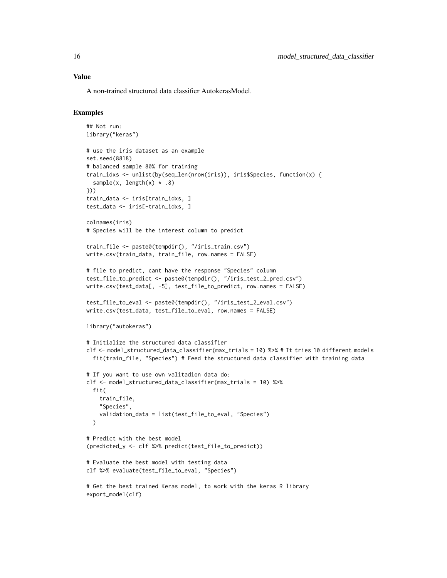A non-trained structured data classifier AutokerasModel.

#### Examples

```
## Not run:
library("keras")
# use the iris dataset as an example
set.seed(8818)
# balanced sample 80% for training
train_idxs <- unlist(by(seq_len(nrow(iris)), iris$Species, function(x) {
  sample(x, length(x) * .8)
}))
train_data <- iris[train_idxs, ]
test_data <- iris[-train_idxs, ]
colnames(iris)
# Species will be the interest column to predict
train_file <- paste0(tempdir(), "/iris_train.csv")
write.csv(train_data, train_file, row.names = FALSE)
# file to predict, cant have the response "Species" column
test_file_to_predict <- paste0(tempdir(), "/iris_test_2_pred.csv")
write.csv(test_data[, -5], test_file_to_predict, row.names = FALSE)
test_file_to_eval <- paste0(tempdir(), "/iris_test_2_eval.csv")
write.csv(test_data, test_file_to_eval, row.names = FALSE)
library("autokeras")
# Initialize the structured data classifier
clf <- model_structured_data_classifier(max_trials = 10) %>% # It tries 10 different models
  fit(train_file, "Species") # Feed the structured data classifier with training data
# If you want to use own valitadion data do:
clf <- model_structured_data_classifier(max_trials = 10) %>%
  fit(
    train_file,
    "Species",
    validation_data = list(test_file_to_eval, "Species")
  )
# Predict with the best model
(predicted_y <- clf %>% predict(test_file_to_predict))
# Evaluate the best model with testing data
clf %>% evaluate(test_file_to_eval, "Species")
# Get the best trained Keras model, to work with the keras R library
export_model(clf)
```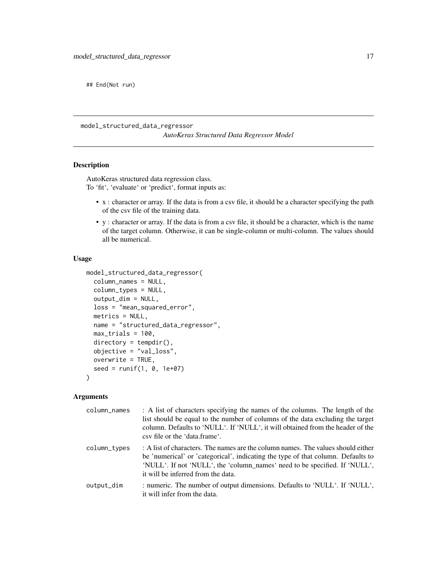<span id="page-16-0"></span>## End(Not run)

model\_structured\_data\_regressor

*AutoKeras Structured Data Regressor Model*

# Description

AutoKeras structured data regression class. To 'fit', 'evaluate' or 'predict', format inputs as:

- x : character or array. If the data is from a csv file, it should be a character specifying the path of the csv file of the training data.
- y : character or array. If the data is from a csv file, it should be a character, which is the name of the target column. Otherwise, it can be single-column or multi-column. The values should all be numerical.

#### Usage

```
model_structured_data_regressor(
  column_names = NULL,
  column_types = NULL,
  output_dim = NULL,
  loss = "mean_squared_error",
 metrics = NULL,
 name = "structured_data_regressor",
 max_trials = 100,
  directory = tempdir(),objective = "val_loss",
  overwrite = TRUE,
  seed = runif(1, 0, 1e+07))
```
#### Arguments

| column_names | : A list of characters specifying the names of the columns. The length of the<br>list should be equal to the number of columns of the data excluding the target<br>column. Defaults to 'NULL'. If 'NULL', it will obtained from the header of the<br>csy file or the 'data.frame'.       |
|--------------|------------------------------------------------------------------------------------------------------------------------------------------------------------------------------------------------------------------------------------------------------------------------------------------|
| column_types | : A list of characters. The names are the column names. The values should either<br>be 'numerical' or 'categorical', indicating the type of that column. Defaults to<br>'NULL'. If not 'NULL', the 'column_names' need to be specified. If 'NULL',<br>it will be inferred from the data. |
| output_dim   | : numeric. The number of output dimensions. Defaults to 'NULL'. If 'NULL',<br>it will infer from the data.                                                                                                                                                                               |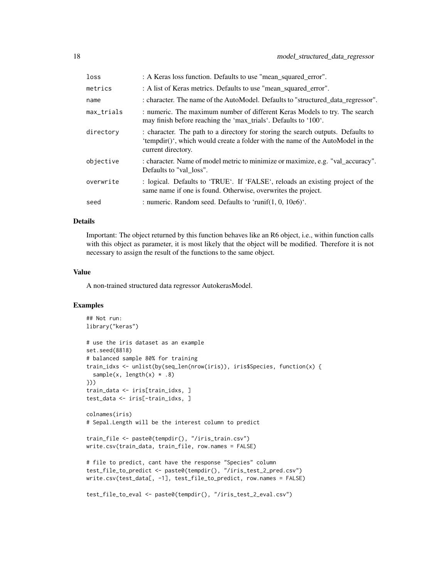| loss       | : A Keras loss function. Defaults to use "mean_squared_error".                                                                                                                           |
|------------|------------------------------------------------------------------------------------------------------------------------------------------------------------------------------------------|
| metrics    | : A list of Keras metrics. Defaults to use "mean_squared_error".                                                                                                                         |
| name       | : character. The name of the AutoModel. Defaults to "structured data regressor".                                                                                                         |
| max_trials | : numeric. The maximum number of different Keras Models to try. The search<br>may finish before reaching the 'max_trials'. Defaults to '100'.                                            |
| directory  | : character. The path to a directory for storing the search outputs. Defaults to<br>'tempdir()', which would create a folder with the name of the AutoModel in the<br>current directory. |
| objective  | : character. Name of model metric to minimize or maximize, e.g. "val_accuracy".<br>Defaults to "val loss".                                                                               |
| overwrite  | : logical. Defaults to 'TRUE'. If 'FALSE', reloads an existing project of the<br>same name if one is found. Otherwise, overwrites the project.                                           |
| seed       | : numeric. Random seed. Defaults to 'runif(1, 0, $10e6$ )'.                                                                                                                              |

# Details

Important: The object returned by this function behaves like an R6 object, i.e., within function calls with this object as parameter, it is most likely that the object will be modified. Therefore it is not necessary to assign the result of the functions to the same object.

#### Value

A non-trained structured data regressor AutokerasModel.

# Examples

```
## Not run:
library("keras")
# use the iris dataset as an example
set.seed(8818)
# balanced sample 80% for training
train_idxs <- unlist(by(seq_len(nrow(iris)), iris$Species, function(x) {
  sample(x, length(x) * .8)
}))
train_data <- iris[train_idxs, ]
test_data <- iris[-train_idxs, ]
colnames(iris)
# Sepal.Length will be the interest column to predict
train_file <- paste0(tempdir(), "/iris_train.csv")
write.csv(train_data, train_file, row.names = FALSE)
# file to predict, cant have the response "Species" column
test_file_to_predict <- paste0(tempdir(), "/iris_test_2_pred.csv")
write.csv(test_data[, -1], test_file_to_predict, row.names = FALSE)
test_file_to_eval <- paste0(tempdir(), "/iris_test_2_eval.csv")
```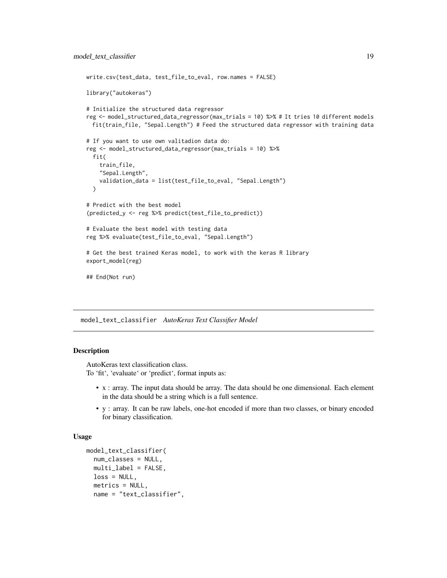```
write.csv(test_data, test_file_to_eval, row.names = FALSE)
library("autokeras")
# Initialize the structured data regressor
reg <- model_structured_data_regressor(max_trials = 10) %>% # It tries 10 different models
 fit(train_file, "Sepal.Length") # Feed the structured data regressor with training data
# If you want to use own valitadion data do:
reg <- model_structured_data_regressor(max_trials = 10) %>%
 fit(
    train_file,
    "Sepal.Length",
    validation_data = list(test_file_to_eval, "Sepal.Length")
 )
# Predict with the best model
(predicted_y <- reg %>% predict(test_file_to_predict))
# Evaluate the best model with testing data
reg %>% evaluate(test_file_to_eval, "Sepal.Length")
# Get the best trained Keras model, to work with the keras R library
export_model(reg)
## End(Not run)
```
model\_text\_classifier *AutoKeras Text Classifier Model*

#### **Description**

AutoKeras text classification class. To 'fit', 'evaluate' or 'predict', format inputs as:

- x : array. The input data should be array. The data should be one dimensional. Each element in the data should be a string which is a full sentence.
- y : array. It can be raw labels, one-hot encoded if more than two classes, or binary encoded for binary classification.

#### Usage

```
model_text_classifier(
 num_classes = NULL,
 multi\_label = FALSE,
 loss = NULL,
 metrics = NULL,
 name = "text_classifier",
```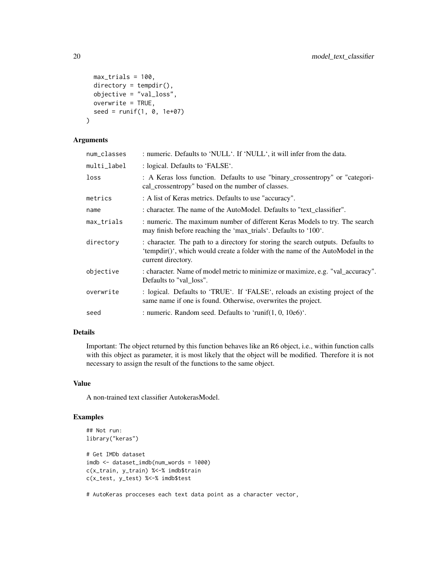```
max_trials = 100,
 directory = tempdir(),
 objective = "val_loss",
 overwrite = TRUE,
 seed = runif(1, 0, 1e+07))
```
# Arguments

| num_classes | : numeric. Defaults to 'NULL'. If 'NULL', it will infer from the data.                                                                                                                   |
|-------------|------------------------------------------------------------------------------------------------------------------------------------------------------------------------------------------|
| multi_label | : logical. Defaults to 'FALSE'.                                                                                                                                                          |
| loss        | : A Keras loss function. Defaults to use "binary_crossentropy" or "categori-<br>cal crossentropy" based on the number of classes.                                                        |
| metrics     | : A list of Keras metrics. Defaults to use "accuracy".                                                                                                                                   |
| name        | : character. The name of the AutoModel. Defaults to "text_classifier".                                                                                                                   |
| max_trials  | : numeric. The maximum number of different Keras Models to try. The search<br>may finish before reaching the 'max_trials'. Defaults to '100'.                                            |
| directory   | : character. The path to a directory for storing the search outputs. Defaults to<br>'tempdir()', which would create a folder with the name of the AutoModel in the<br>current directory. |
| objective   | : character. Name of model metric to minimize or maximize, e.g. "val_accuracy".<br>Defaults to "val loss".                                                                               |
| overwrite   | : logical. Defaults to 'TRUE'. If 'FALSE', reloads an existing project of the<br>same name if one is found. Otherwise, overwrites the project.                                           |
| seed        | : numeric. Random seed. Defaults to 'runif(1, 0, $10e6$ )'.                                                                                                                              |

#### Details

Important: The object returned by this function behaves like an R6 object, i.e., within function calls with this object as parameter, it is most likely that the object will be modified. Therefore it is not necessary to assign the result of the functions to the same object.

#### Value

A non-trained text classifier AutokerasModel.

# Examples

```
## Not run:
library("keras")
# Get IMDb dataset
imdb <- dataset_imdb(num_words = 1000)
c(x_train, y_train) %<-% imdb$train
c(x_test, y_test) %<-% imdb$test
```
# AutoKeras procceses each text data point as a character vector,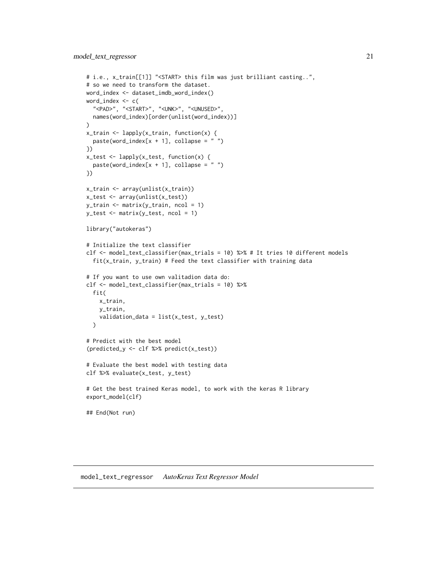```
# i.e., x_train[[1]] "<START> this film was just brilliant casting..",
# so we need to transform the dataset.
word_index <- dataset_imdb_word_index()
word_index <- c(
  "<PAD>", "<START>", "<UNK>", "<UNUSED>",
  names(word_index)[order(unlist(word_index))]
\lambdax_train <- lapply(x_train, function(x) {
  paste(word_index[x + 1], collapse = "")})
x_test <- lapply(x_test, function(x) {
  paste(word_index[x + 1], collapse = "")})
x_train <- array(unlist(x_train))
x_test <- array(unlist(x_test))
y_train <- matrix(y_train, ncol = 1)
y_test <- matrix(y_test, ncol = 1)
library("autokeras")
# Initialize the text classifier
clf <- model_text_classifier(max_trials = 10) %>% # It tries 10 different models
  fit(x_train, y_train) # Feed the text classifier with training data
# If you want to use own valitadion data do:
clf <- model_text_classifier(max_trials = 10) %>%
  fit(
   x_train,
   y_train,
    validation_data = list(x_test, y_test)
  )
# Predict with the best model
(predicted_y <- clf %>% predict(x_test))
# Evaluate the best model with testing data
clf %>% evaluate(x_test, y_test)
# Get the best trained Keras model, to work with the keras R library
export_model(clf)
## End(Not run)
```
model\_text\_regressor *AutoKeras Text Regressor Model*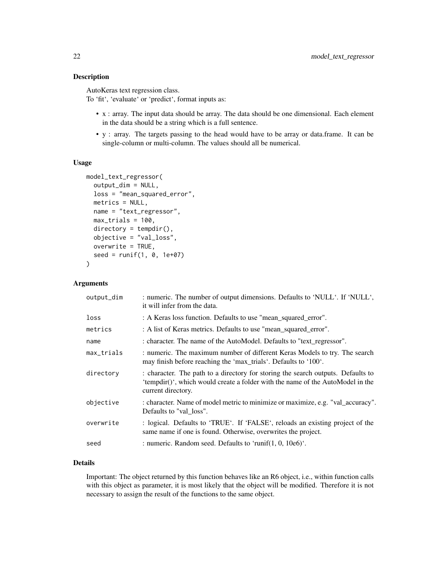#### Description

AutoKeras text regression class.

To 'fit', 'evaluate' or 'predict', format inputs as:

- x : array. The input data should be array. The data should be one dimensional. Each element in the data should be a string which is a full sentence.
- y : array. The targets passing to the head would have to be array or data.frame. It can be single-column or multi-column. The values should all be numerical.

#### Usage

```
model_text_regressor(
  output_dim = NULL,
  loss = "mean_squared_error",
  metrics = NULL,
  name = "text_regressor",
  max_trials = 100,
  directory = tempdir(),objective = "val_loss",
  overwrite = TRUE,
  seed = runif(1, 0, 1e+07))
```
#### Arguments

| output_dim | : numeric. The number of output dimensions. Defaults to 'NULL'. If 'NULL',<br>it will infer from the data.                                                                               |  |
|------------|------------------------------------------------------------------------------------------------------------------------------------------------------------------------------------------|--|
| loss       | : A Keras loss function. Defaults to use "mean_squared_error".                                                                                                                           |  |
| metrics    | : A list of Keras metrics. Defaults to use "mean_squared_error".                                                                                                                         |  |
| name       | : character. The name of the AutoModel. Defaults to "text regressor".                                                                                                                    |  |
| max_trials | : numeric. The maximum number of different Keras Models to try. The search<br>may finish before reaching the 'max_trials'. Defaults to '100'.                                            |  |
| directory  | : character. The path to a directory for storing the search outputs. Defaults to<br>'tempdir()', which would create a folder with the name of the AutoModel in the<br>current directory. |  |
| objective  | : character. Name of model metric to minimize or maximize, e.g. "val_accuracy".<br>Defaults to "val loss".                                                                               |  |
| overwrite  | : logical. Defaults to 'TRUE'. If 'FALSE', reloads an existing project of the<br>same name if one is found. Otherwise, overwrites the project.                                           |  |
| seed       | : numeric. Random seed. Defaults to 'runif(1, 0, $10e6$ )'.                                                                                                                              |  |

# Details

Important: The object returned by this function behaves like an R6 object, i.e., within function calls with this object as parameter, it is most likely that the object will be modified. Therefore it is not necessary to assign the result of the functions to the same object.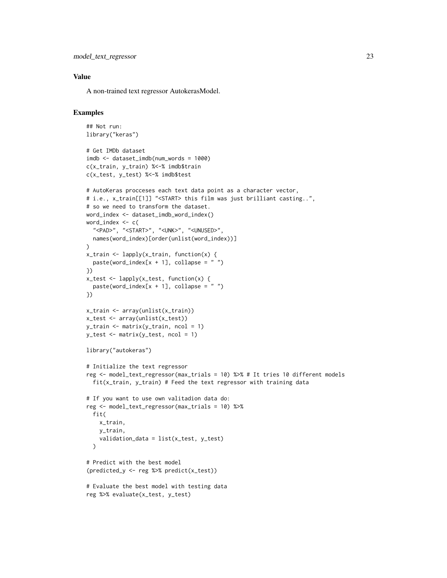```
model_text_regressor 23
```
# Value

A non-trained text regressor AutokerasModel.

# Examples

```
## Not run:
library("keras")
# Get IMDb dataset
imdb <- dataset_imdb(num_words = 1000)
c(x_train, y_train) %<-% imdb$train
c(x_test, y_test) %<-% imdb$test
# AutoKeras procceses each text data point as a character vector,
# i.e., x_train[[1]] "<START> this film was just brilliant casting..",
# so we need to transform the dataset.
word_index <- dataset_imdb_word_index()
word_index <- c(
  "<PAD>", "<START>", "<UNK>", "<UNUSED>",
  names(word_index)[order(unlist(word_index))]
)
x_train <- lapply(x_train, function(x) {
  paste(word_index[x + 1], collapse = "")})
x_test <- lapply(x_test, function(x) {
  paste(word_index[x + 1], collapse = "")})
x_train <- array(unlist(x_train))
x_test <- array(unlist(x_test))
y_train <- matrix(y_train, ncol = 1)
y_t st \leq matrix(y_test, ncol = 1)
library("autokeras")
# Initialize the text regressor
reg <- model_text_regressor(max_trials = 10) %>% # It tries 10 different models
  fit(x_train, y_train) # Feed the text regressor with training data
# If you want to use own valitadion data do:
reg <- model_text_regressor(max_trials = 10) %>%
  fit(
    x_train,
    y_train,
    validation_data = list(x_test, y_test)
  \lambda# Predict with the best model
(predicted_y <- reg %>% predict(x_test))
# Evaluate the best model with testing data
reg %>% evaluate(x_test, y_test)
```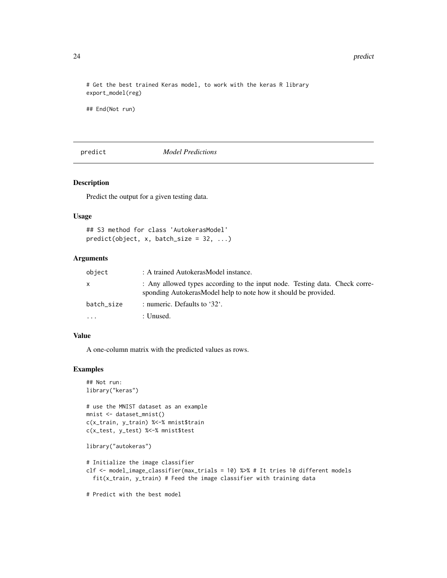# Get the best trained Keras model, to work with the keras R library export\_model(reg)

## End(Not run)

predict *Model Predictions*

#### Description

Predict the output for a given testing data.

#### Usage

```
## S3 method for class 'AutokerasModel'
predict(object, x, batch_size = 32, ...)
```
#### Arguments

| object     | : A trained AutokerasModel instance.                                                                                                            |  |
|------------|-------------------------------------------------------------------------------------------------------------------------------------------------|--|
| x          | : Any allowed types according to the input node. Testing data. Check corre-<br>sponding Autokeras Model help to note how it should be provided. |  |
| batch size | : numeric. Defaults to '32'.                                                                                                                    |  |
| $\cdots$   | : Unused.                                                                                                                                       |  |

# Value

A one-column matrix with the predicted values as rows.

# Examples

```
## Not run:
library("keras")
# use the MNIST dataset as an example
mnist <- dataset_mnist()
c(x_train, y_train) %<-% mnist$train
c(x_test, y_test) %<-% mnist$test
library("autokeras")
# Initialize the image classifier
clf <- model_image_classifier(max_trials = 10) %>% # It tries 10 different models
  fit(x_train, y_train) # Feed the image classifier with training data
```
# Predict with the best model

<span id="page-23-0"></span>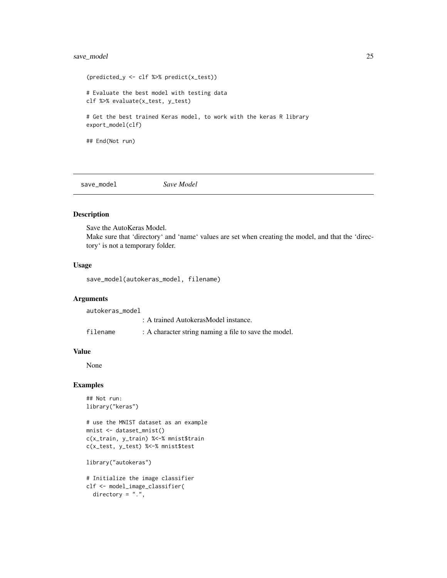# <span id="page-24-0"></span>save\_model 25

```
(predicted_y <- clf %>% predict(x_test))
# Evaluate the best model with testing data
clf %>% evaluate(x_test, y_test)
# Get the best trained Keras model, to work with the keras R library
export_model(clf)
## End(Not run)
```
save\_model *Save Model*

#### Description

Save the AutoKeras Model.

Make sure that 'directory' and 'name' values are set when creating the model, and that the 'directory' is not a temporary folder.

#### Usage

save\_model(autokeras\_model, filename)

#### Arguments

autokeras\_model

|  | : A trained AutokerasModel instance. |  |
|--|--------------------------------------|--|
|  |                                      |  |

filename : A character string naming a file to save the model.

# Value

None

# Examples

```
## Not run:
library("keras")
```
# use the MNIST dataset as an example mnist <- dataset\_mnist() c(x\_train, y\_train) %<-% mnist\$train c(x\_test, y\_test) %<-% mnist\$test

library("autokeras")

# Initialize the image classifier clf <- model\_image\_classifier( directory =  $".".$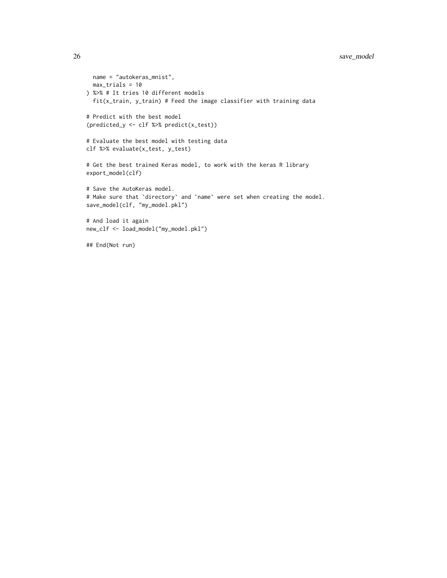# 26 save\_model

```
name = "autokeras_mnist",
 max_trials = 10
) %>% # It tries 10 different models
  fit(x_train, y_train) # Feed the image classifier with training data
# Predict with the best model
(predicted_y <- clf %>% predict(x_test))
# Evaluate the best model with testing data
clf %>% evaluate(x_test, y_test)
# Get the best trained Keras model, to work with the keras R library
export_model(clf)
# Save the AutoKeras model.
# Make sure that `directory` and `name` were set when creating the model.
save_model(clf, "my_model.pkl")
# And load it again
new_clf <- load_model("my_model.pkl")
## End(Not run)
```